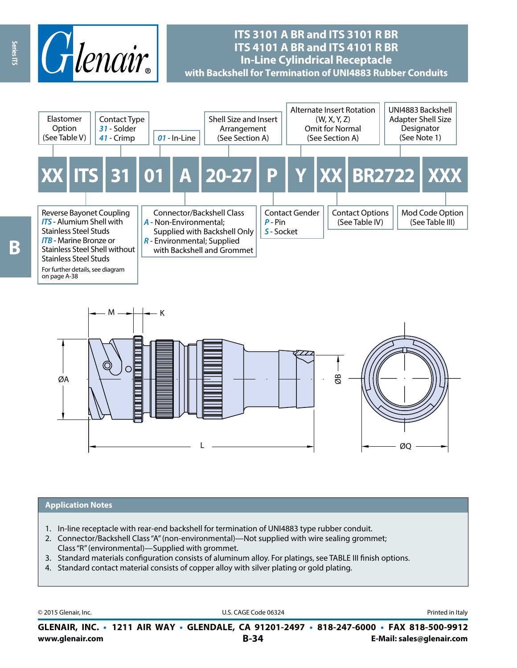

# **ITS 3101 A BR and ITS 3101 R BR ITS 4101 A BR and ITS 4101 R BR In-Line Cylindrical Receptacle with Backshell for Termination of UNI4883 Rubber Conduits**





#### **Application Notes**

- 1. In-line receptacle with rear-end backshell for termination of UNI4883 type rubber conduit.
- 2. Connector/Backshell Class "A" (non-environmental)—Not supplied with wire sealing grommet; Class "R" (environmental)—Supplied with grommet.
- 3. Standard materials configuration consists of aluminum alloy. For platings, see TABLE III finish options.
- 4. Standard contact material consists of copper alloy with silver plating or gold plating.

© 2015 Glenair, Inc. **Discription Construction Construction Construction Construction Construction Construction Construction Construction Construction Construction Construction Construction Construction Construction Constr** 

**www.glenair.com B-34 E-Mail: sales@glenair.com GLENAIR, INC. • 1211 AIR WAY • GLENDALE, CA 91201-2497 • 818-247-6000 • FAX 818-500-9912**